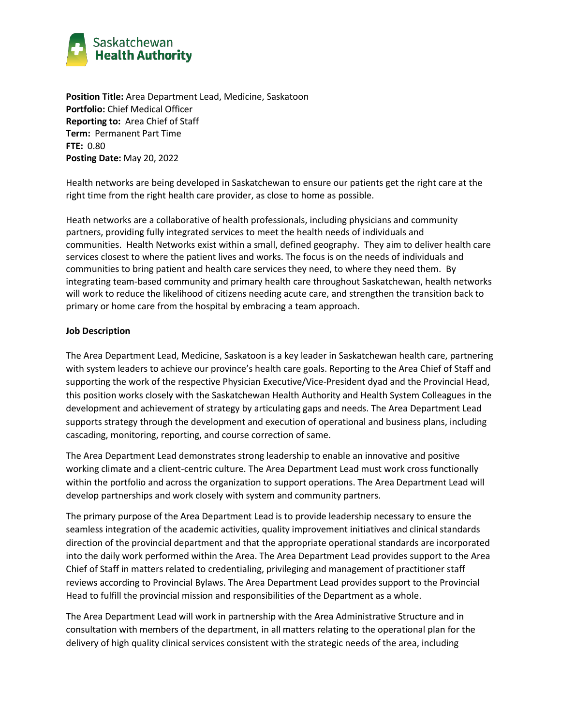

**Position Title:** Area Department Lead, Medicine, Saskatoon **Portfolio:** Chief Medical Officer **Reporting to:** Area Chief of Staff **Term:** Permanent Part Time **FTE:** 0.80 **Posting Date:** May 20, 2022

Health networks are being developed in Saskatchewan to ensure our patients get the right care at the right time from the right health care provider, as close to home as possible.

Heath networks are a collaborative of health professionals, including physicians and community partners, providing fully integrated services to meet the health needs of individuals and communities. Health Networks exist within a small, defined geography. They aim to deliver health care services closest to where the patient lives and works. The focus is on the needs of individuals and communities to bring patient and health care services they need, to where they need them. By integrating team-based community and primary health care throughout Saskatchewan, health networks will work to reduce the likelihood of citizens needing acute care, and strengthen the transition back to primary or home care from the hospital by embracing a team approach.

#### **Job Description**

The Area Department Lead, Medicine, Saskatoon is a key leader in Saskatchewan health care, partnering with system leaders to achieve our province's health care goals. Reporting to the Area Chief of Staff and supporting the work of the respective Physician Executive/Vice-President dyad and the Provincial Head, this position works closely with the Saskatchewan Health Authority and Health System Colleagues in the development and achievement of strategy by articulating gaps and needs. The Area Department Lead supports strategy through the development and execution of operational and business plans, including cascading, monitoring, reporting, and course correction of same.

The Area Department Lead demonstrates strong leadership to enable an innovative and positive working climate and a client-centric culture. The Area Department Lead must work cross functionally within the portfolio and across the organization to support operations. The Area Department Lead will develop partnerships and work closely with system and community partners.

The primary purpose of the Area Department Lead is to provide leadership necessary to ensure the seamless integration of the academic activities, quality improvement initiatives and clinical standards direction of the provincial department and that the appropriate operational standards are incorporated into the daily work performed within the Area. The Area Department Lead provides support to the Area Chief of Staff in matters related to credentialing, privileging and management of practitioner staff reviews according to Provincial Bylaws. The Area Department Lead provides support to the Provincial Head to fulfill the provincial mission and responsibilities of the Department as a whole.

The Area Department Lead will work in partnership with the Area Administrative Structure and in consultation with members of the department, in all matters relating to the operational plan for the delivery of high quality clinical services consistent with the strategic needs of the area, including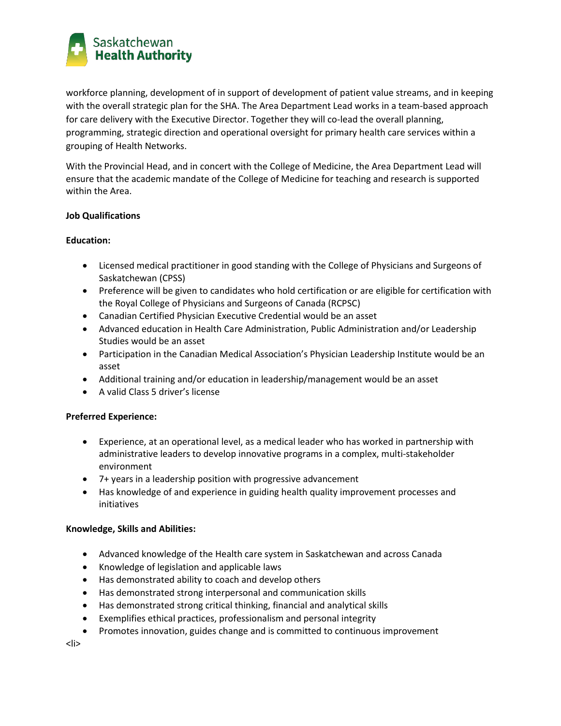

workforce planning, development of in support of development of patient value streams, and in keeping with the overall strategic plan for the SHA. The Area Department Lead works in a team-based approach for care delivery with the Executive Director. Together they will co-lead the overall planning, programming, strategic direction and operational oversight for primary health care services within a grouping of Health Networks.

With the Provincial Head, and in concert with the College of Medicine, the Area Department Lead will ensure that the academic mandate of the College of Medicine for teaching and research is supported within the Area.

## **Job Qualifications**

## **Education:**

- Licensed medical practitioner in good standing with the College of Physicians and Surgeons of Saskatchewan (CPSS)
- Preference will be given to candidates who hold certification or are eligible for certification with the Royal College of Physicians and Surgeons of Canada (RCPSC)
- Canadian Certified Physician Executive Credential would be an asset
- Advanced education in Health Care Administration, Public Administration and/or Leadership Studies would be an asset
- Participation in the Canadian Medical Association's Physician Leadership Institute would be an asset
- Additional training and/or education in leadership/management would be an asset
- A valid Class 5 driver's license

## **Preferred Experience:**

- Experience, at an operational level, as a medical leader who has worked in partnership with administrative leaders to develop innovative programs in a complex, multi-stakeholder environment
- 7+ years in a leadership position with progressive advancement
- Has knowledge of and experience in guiding health quality improvement processes and initiatives

#### **Knowledge, Skills and Abilities:**

- Advanced knowledge of the Health care system in Saskatchewan and across Canada
- Knowledge of legislation and applicable laws
- Has demonstrated ability to coach and develop others
- Has demonstrated strong interpersonal and communication skills
- Has demonstrated strong critical thinking, financial and analytical skills
- Exemplifies ethical practices, professionalism and personal integrity
- Promotes innovation, guides change and is committed to continuous improvement

<li>